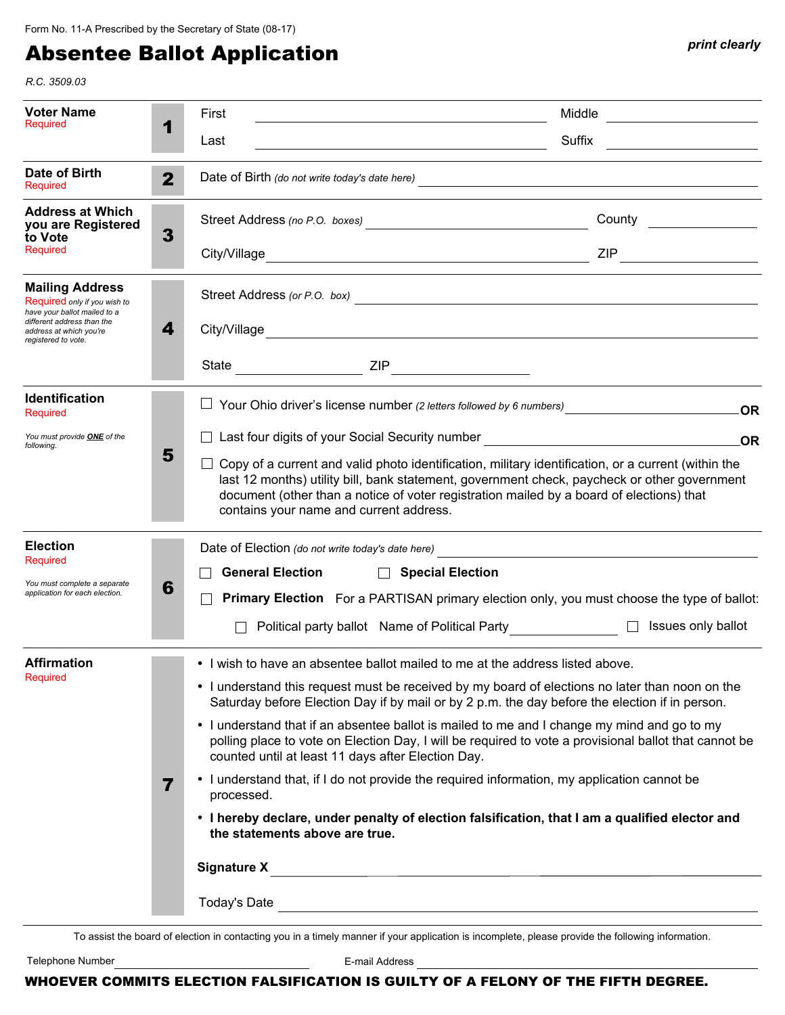## Absentee Ballot Application *print clearly print clearly*

*R.C. 3509.03*

| Voter Name<br>Required                                                                                                                                                 | 1                       | First<br>Middle<br><u> 1989 - Johann Barn, mars ann an t-Amhain Aonaich an t-Aonaich an t-Aonaich ann an t-Aonaich ann an t-Aonaich</u>                                                                                                                                                                                                    |  |                    |                                                                                                                                                                                                                                |                        |                                                                                     |
|------------------------------------------------------------------------------------------------------------------------------------------------------------------------|-------------------------|--------------------------------------------------------------------------------------------------------------------------------------------------------------------------------------------------------------------------------------------------------------------------------------------------------------------------------------------|--|--------------------|--------------------------------------------------------------------------------------------------------------------------------------------------------------------------------------------------------------------------------|------------------------|-------------------------------------------------------------------------------------|
|                                                                                                                                                                        |                         | Suffix<br>Last<br><u> 1989 - Johann Barbara, martin a</u>                                                                                                                                                                                                                                                                                  |  |                    |                                                                                                                                                                                                                                |                        |                                                                                     |
| Date of Birth<br>Required                                                                                                                                              | $\mathbf{2}$            |                                                                                                                                                                                                                                                                                                                                            |  |                    |                                                                                                                                                                                                                                |                        |                                                                                     |
| <b>Address at Which</b><br>you are Registered<br>to Vote<br>Required                                                                                                   | 3                       |                                                                                                                                                                                                                                                                                                                                            |  |                    |                                                                                                                                                                                                                                | County _______________ |                                                                                     |
|                                                                                                                                                                        |                         |                                                                                                                                                                                                                                                                                                                                            |  |                    |                                                                                                                                                                                                                                |                        |                                                                                     |
| <b>Mailing Address</b><br>Required only if you wish to<br>have your ballot mailed to a<br>different address than the<br>address at which you're<br>registered to vote. | 4                       |                                                                                                                                                                                                                                                                                                                                            |  |                    |                                                                                                                                                                                                                                |                        | Street Address (or P.O. box)                                                        |
|                                                                                                                                                                        |                         |                                                                                                                                                                                                                                                                                                                                            |  |                    | City/Village entry and the contract of the contract of the contract of the contract of the contract of the contract of the contract of the contract of the contract of the contract of the contract of the contract of the con |                        |                                                                                     |
|                                                                                                                                                                        |                         |                                                                                                                                                                                                                                                                                                                                            |  |                    |                                                                                                                                                                                                                                |                        |                                                                                     |
| Identification<br>Required                                                                                                                                             |                         |                                                                                                                                                                                                                                                                                                                                            |  |                    |                                                                                                                                                                                                                                |                        | <b>OR</b>                                                                           |
| You must provide ONE of the<br>following.                                                                                                                              | 5                       | □ Last four digits of your Social Security number <u>Denver and Denver and Denver and Denver and Denver and Den</u>                                                                                                                                                                                                                        |  |                    |                                                                                                                                                                                                                                |                        | .OR                                                                                 |
|                                                                                                                                                                        |                         | Copy of a current and valid photo identification, military identification, or a current (within the<br>last 12 months) utility bill, bank statement, government check, paycheck or other government<br>document (other than a notice of voter registration mailed by a board of elections) that<br>contains your name and current address. |  |                    |                                                                                                                                                                                                                                |                        |                                                                                     |
| <b>Election</b>                                                                                                                                                        |                         |                                                                                                                                                                                                                                                                                                                                            |  |                    | Date of Election (do not write today's date here)<br><u> and a subsequence of Election</u> (do not write today's date here)                                                                                                    |                        |                                                                                     |
| Required<br>You must complete a separate<br>application for each election.                                                                                             | 6                       | <b>General Election</b>                                                                                                                                                                                                                                                                                                                    |  | □ Special Election |                                                                                                                                                                                                                                |                        |                                                                                     |
|                                                                                                                                                                        |                         | <b>Primary Election</b> For a PARTISAN primary election only, you must choose the type of ballot:                                                                                                                                                                                                                                          |  |                    |                                                                                                                                                                                                                                |                        |                                                                                     |
|                                                                                                                                                                        |                         |                                                                                                                                                                                                                                                                                                                                            |  |                    |                                                                                                                                                                                                                                |                        | Political party ballot Name of Political Party________________ □ Issues only ballot |
| Affirmation<br>Required                                                                                                                                                |                         | • I wish to have an absentee ballot mailed to me at the address listed above.                                                                                                                                                                                                                                                              |  |                    |                                                                                                                                                                                                                                |                        |                                                                                     |
|                                                                                                                                                                        |                         | • I understand this request must be received by my board of elections no later than noon on the<br>Saturday before Election Day if by mail or by 2 p.m. the day before the election if in person.                                                                                                                                          |  |                    |                                                                                                                                                                                                                                |                        |                                                                                     |
|                                                                                                                                                                        |                         | • I understand that if an absentee ballot is mailed to me and I change my mind and go to my<br>polling place to vote on Election Day, I will be required to vote a provisional ballot that cannot be<br>counted until at least 11 days after Election Day.                                                                                 |  |                    |                                                                                                                                                                                                                                |                        |                                                                                     |
|                                                                                                                                                                        | $\overline{\mathbf{7}}$ | • I understand that, if I do not provide the required information, my application cannot be<br>processed.                                                                                                                                                                                                                                  |  |                    |                                                                                                                                                                                                                                |                        |                                                                                     |
|                                                                                                                                                                        |                         | • I hereby declare, under penalty of election falsification, that I am a qualified elector and<br>the statements above are true.                                                                                                                                                                                                           |  |                    |                                                                                                                                                                                                                                |                        |                                                                                     |
|                                                                                                                                                                        |                         |                                                                                                                                                                                                                                                                                                                                            |  |                    |                                                                                                                                                                                                                                |                        |                                                                                     |
|                                                                                                                                                                        |                         |                                                                                                                                                                                                                                                                                                                                            |  |                    |                                                                                                                                                                                                                                |                        |                                                                                     |
|                                                                                                                                                                        |                         |                                                                                                                                                                                                                                                                                                                                            |  |                    |                                                                                                                                                                                                                                |                        |                                                                                     |

To assist the board of election in contacting you in a timely manner if your application is incomplete, please provide the following information.